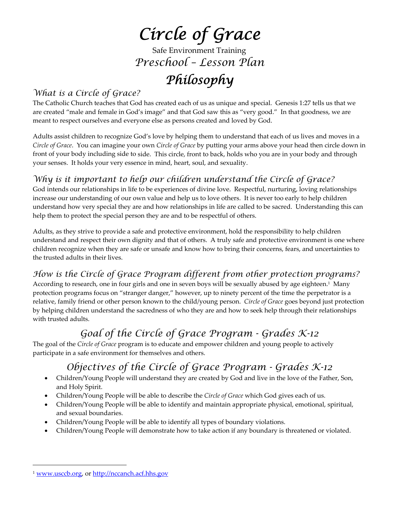# *Circle of Grace*

Safe Environment Training *Preschool – Lesson Plan*

# *Philosophy*

#### *What is a Circle of Grace?*

The Catholic Church teaches that God has created each of us as unique and special. Genesis 1:27 tells us that we are created "male and female in God's image" and that God saw this as "very good." In that goodness, we are meant to respect ourselves and everyone else as persons created and loved by God.

Adults assist children to recognize God's love by helping them to understand that each of us lives and moves in a *Circle of Grace*. You can imagine your own *Circle of Grace* by putting your arms above your head then circle down in front of your body including side to side. This circle, front to back, holds who you are in your body and through your senses. It holds your very essence in mind, heart, soul, and sexuality.

#### *Why is it important to help our children understand the Circle of Grace?*

God intends our relationships in life to be experiences of divine love. Respectful, nurturing, loving relationships increase our understanding of our own value and help us to love others. It is never too early to help children understand how very special they are and how relationships in life are called to be sacred. Understanding this can help them to protect the special person they are and to be respectful of others.

Adults, as they strive to provide a safe and protective environment, hold the responsibility to help children understand and respect their own dignity and that of others. A truly safe and protective environment is one where children recognize when they are safe or unsafe and know how to bring their concerns, fears, and uncertainties to the trusted adults in their lives.

#### *How is the Circle of Grace Program different from other protection programs?*

According to research, one in four girls and one in seven boys will be sexually abused by age eighteen.1 Many protection programs focus on "stranger danger," however, up to ninety percent of the time the perpetrator is a relative, family friend or other person known to the child/young person. *Circle of Grace* goes beyond just protection by helping children understand the sacredness of who they are and how to seek help through their relationships with trusted adults.

## *Goal of the Circle of Grace Program - Grades K-12*

The goal of the *Circle of Grace* program is to educate and empower children and young people to actively participate in a safe environment for themselves and others.

## *Objectives of the Circle of Grace Program - Grades K-12*

- Children/Young People will understand they are created by God and live in the love of the Father, Son, and Holy Spirit.
- Children/Young People will be able to describe the *Circle of Grace* which God gives each of us.
- Children/Young People will be able to identify and maintain appropriate physical, emotional, spiritual, and sexual boundaries.
- Children/Young People will be able to identify all types of boundary violations.
- Children/Young People will demonstrate how to take action if any boundary is threatened or violated.

 $\overline{a}$ 

<sup>1</sup> www.usccb.org, or http://nccanch.acf.hhs.gov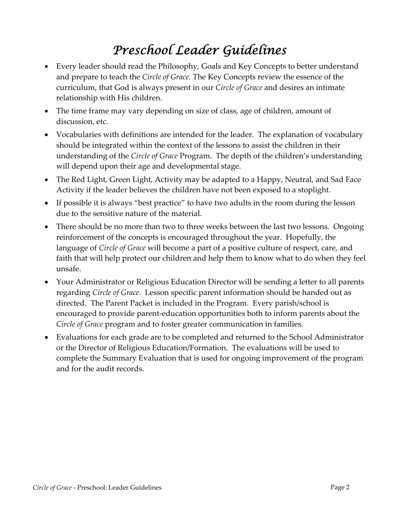# *Preschool Leader Guidelines*

- Every leader should read the Philosophy, Goals and Key Concepts to better understand and prepare to teach the *Circle of Grace*. The Key Concepts review the essence of the curriculum, that God is always present in our *Circle of Grace* and desires an intimate relationship with His children.
- The time frame may vary depending on size of class, age of children, amount of discussion, etc.
- Vocabularies with definitions are intended for the leader. The explanation of vocabulary should be integrated within the context of the lessons to assist the children in their understanding of the *Circle of Grace* Program. The depth of the children's understanding will depend upon their age and developmental stage.
- The Red Light, Green Light, Activity may be adapted to a Happy, Neutral, and Sad Face Activity if the leader believes the children have not been exposed to a stoplight.
- If possible it is always "best practice" to have two adults in the room during the lesson due to the sensitive nature of the material.
- There should be no more than two to three weeks between the last two lessons. Ongoing reinforcement of the concepts is encouraged throughout the year. Hopefully, the language of *Circle of Grace* will become a part of a positive culture of respect, care, and faith that will help protect our children and help them to know what to do when they feel unsafe.
- Your Administrator or Religious Education Director will be sending a letter to all parents regarding *Circle of Grace*. Lesson specific parent information should be handed out as directed. The Parent Packet is included in the Program. Every parish/school is encouraged to provide parent‐education opportunities both to inform parents about the *Circle of Grace* program and to foster greater communication in families.
- Evaluations for each grade are to be completed and returned to the School Administrator or the Director of Religious Education/Formation. The evaluations will be used to complete the Summary Evaluation that is used for ongoing improvement of the program and for the audit records.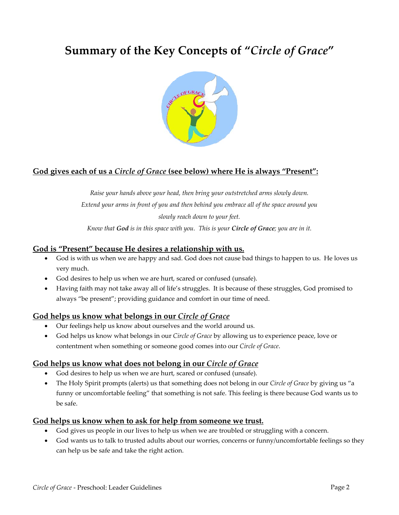## **Summary of the Key Concepts of "***Circle of Grace***"**



#### **God gives each of us a** *Circle of Grace* **(see below) where He is always "Present":**

*Raise your hands above your head, then bring your outstretched arms slowly down. Extend your arms in front of you and then behind you embrace all of the space around you slowly reach down to your feet.*

#### Know that God is in this space with you. This is your Circle of Grace; you are in it.

#### **God is "Present" because He desires a relationship with us.**

- God is with us when we are happy and sad. God does not cause bad things to happen to us. He loves us very much.
- God desires to help us when we are hurt, scared or confused (unsafe).
- Having faith may not take away all of life's struggles. It is because of these struggles, God promised to always "be present"; providing guidance and comfort in our time of need.

#### **God helps us know what belongs in our** *Circle of Grace*

- Our feelings help us know about ourselves and the world around us.
- God helps us know what belongs in our *Circle of Grace* by allowing us to experience peace, love or contentment when something or someone good comes into our *Circle of Grace*.

#### **God helps us know what does not belong in our** *Circle of Grace*

- God desires to help us when we are hurt, scared or confused (unsafe).
- The Holy Spirit prompts (alerts) us that something does not belong in our *Circle of Grace* by giving us "a funny or uncomfortable feeling" that something is not safe. This feeling is there because God wants us to be safe.

#### **God helps us know when to ask for help from someone we trust.**

- God gives us people in our lives to help us when we are troubled or struggling with a concern.
- God wants us to talk to trusted adults about our worries, concerns or funny/uncomfortable feelings so they can help us be safe and take the right action.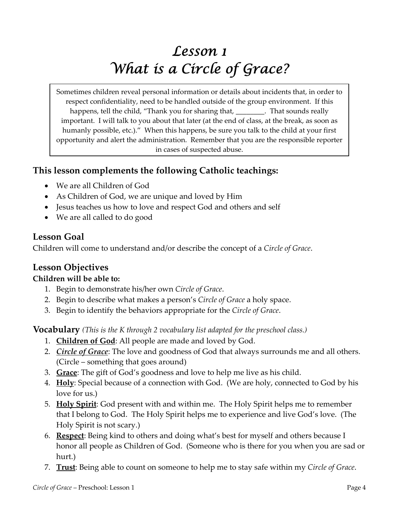# *Lesson 1 What is a Circle of Grace?*

Sometimes children reveal personal information or details about incidents that, in order to respect confidentiality, need to be handled outside of the group environment. If this happens, tell the child, "Thank you for sharing that, \_\_\_\_\_\_\_\_. That sounds really important. I will talk to you about that later (at the end of class, at the break, as soon as humanly possible, etc.)." When this happens, be sure you talk to the child at your first opportunity and alert the administration. Remember that you are the responsible reporter in cases of suspected abuse.

#### **This lesson complements the following Catholic teachings:**

- We are all Children of God
- As Children of God, we are unique and loved by Him
- Jesus teaches us how to love and respect God and others and self
- We are all called to do good

#### **Lesson Goal**

Children will come to understand and/or describe the concept of a *Circle of Grace*.

#### **Lesson Objectives**

#### **Children will be able to:**

- 1. Begin to demonstrate his/her own *Circle of Grace*.
- 2. Begin to describe what makes a person's *Circle of Grace* a holy space.
- 3. Begin to identify the behaviors appropriate for the *Circle of Grace*.

**Vocabulary** *(This is the K through 2 vocabulary list adapted for the preschool class.)*

- 1. **Children of God**: All people are made and loved by God.
- 2. *Circle of Grace*: The love and goodness of God that always surrounds me and all others. (Circle – something that goes around)
- 3. **Grace**: The gift of God's goodness and love to help me live as his child.
- 4. **Holy**: Special because of a connection with God. (We are holy, connected to God by his love for us.)
- 5. **Holy Spirit**: God present with and within me. The Holy Spirit helps me to remember that I belong to God. The Holy Spirit helps me to experience and live God's love. (The Holy Spirit is not scary.)
- 6. **Respect**: Being kind to others and doing what's best for myself and others because I honor all people as Children of God. (Someone who is there for you when you are sad or hurt.)
- 7. **Trust**: Being able to count on someone to help me to stay safe within my *Circle of Grace*.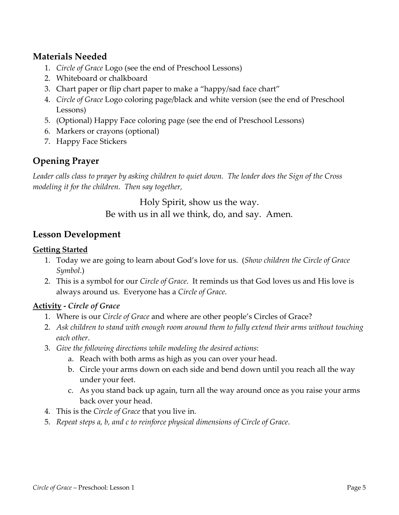#### **Materials Needed**

- 1. *Circle of Grace* Logo (see the end of Preschool Lessons)
- 2. Whiteboard or chalkboard
- 3. Chart paper or flip chart paper to make a "happy/sad face chart"
- 4. *Circle of Grace* Logo coloring page/black and white version (see the end of Preschool Lessons)
- 5. (Optional) Happy Face coloring page (see the end of Preschool Lessons)
- 6. Markers or crayons (optional)
- 7. Happy Face Stickers

#### **Opening Prayer**

Leader calls class to prayer by asking children to quiet down. The leader does the Sign of the Cross *modeling it for the children. Then say together,* 

Holy Spirit, show us the way.

Be with us in all we think, do, and say. Amen*.*

#### **Lesson Development**

#### **Getting Started**

- 1. Today we are going to learn about God's love for us. (*Show children the Circle of Grace Symbol*.)
- 2. This is a symbol for our *Circle of Grace*. It reminds us that God loves us and His love is always around us. Everyone has a *Circle of Grace*.

#### **Activity ‐** *Circle of Grace*

- 1. Where is our *Circle of Grace* and where are other people's Circles of Grace?
- 2. *Ask children to stand with enough room around them to fully extend their arms without touching each other*.
- 3. *Give the following directions while modeling the desired actions*:
	- a. Reach with both arms as high as you can over your head.
	- b. Circle your arms down on each side and bend down until you reach all the way under your feet.
	- c. As you stand back up again, turn all the way around once as you raise your arms back over your head.
- 4. This is the *Circle of Grace* that you live in.
- 5. *Repeat steps a, b, and c to reinforce physical dimensions of Circle of Grace*.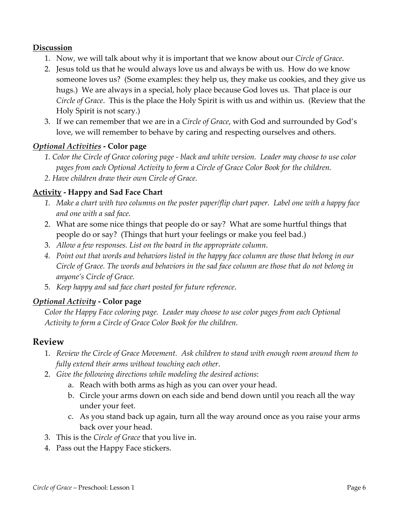#### **Discussion**

- 1. Now, we will talk about why it is important that we know about our *Circle of Grace*.
- 2. Jesus told us that he would always love us and always be with us. How do we know someone loves us? (Some examples: they help us, they make us cookies, and they give us hugs.) We are always in a special, holy place because God loves us. That place is our *Circle of Grace*. This is the place the Holy Spirit is with us and within us. (Review that the Holy Spirit is not scary.)
- 3. If we can remember that we are in a *Circle of Grace*, with God and surrounded by God's love, we will remember to behave by caring and respecting ourselves and others.

#### *Optional Activities* **‐ Color page**

- 1. Color the Circle of Grace coloring page black and white version. Leader may choose to use color *pages from each Optional Activity to form a Circle of Grace Color Book for the children.*
- *2. Have children draw their own Circle of Grace.*

#### **Activity ‐ Happy and Sad Face Chart**

- 1. Make a chart with two columns on the poster paper/flip chart paper. Label one with a happy face *and one with a sad face.*
- 2. What are some nice things that people do or say? What are some hurtful things that people do or say? (Things that hurt your feelings or make you feel bad.)
- 3. *Allow a few responses. List on the board in the appropriate column*.
- 4. Point out that words and behaviors listed in the happy face column are those that belong in our Circle of Grace. The words and behaviors in the sad face column are those that do not belong in *anyone's Circle of Grace.*
- 5. *Keep happy and sad face chart posted for future reference*.

#### *Optional Activity* **‐ Color page**

*Color the Happy Face coloring page. Leader may choose to use color pages from each Optional Activity to form a Circle of Grace Color Book for the children.*

#### **Review**

- 1. *Review the Circle of Grace Movement. Ask children to stand with enough room around them to fully extend their arms without touching each other*.
- 2. *Give the following directions while modeling the desired actions*:
	- a. Reach with both arms as high as you can over your head.
	- b. Circle your arms down on each side and bend down until you reach all the way under your feet.
	- c. As you stand back up again, turn all the way around once as you raise your arms back over your head.
- 3. This is the *Circle of Grace* that you live in.
- 4. Pass out the Happy Face stickers.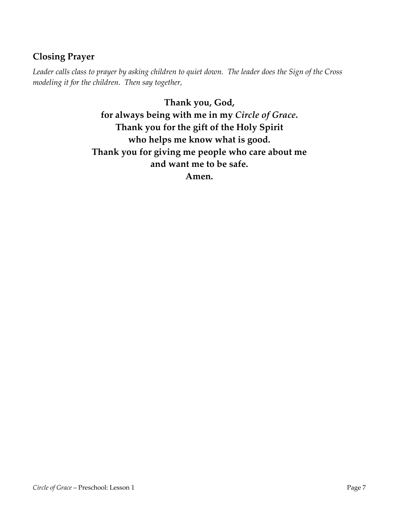#### **Closing Prayer**

Leader calls class to prayer by asking children to quiet down. The leader does the Sign of the Cross *modeling it for the children. Then say together,* 

> **Thank you, God, for always being with me in my** *Circle of Grace***. Thank you for the gift of the Holy Spirit who helps me know what is good. Thank you for giving me people who care about me and want me to be safe. Amen.**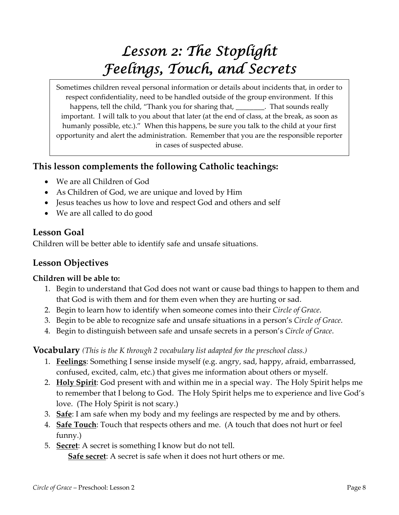# *Lesson 2: The Stoplight Feelings, Touch, and Secrets*

Sometimes children reveal personal information or details about incidents that, in order to respect confidentiality, need to be handled outside of the group environment. If this happens, tell the child, "Thank you for sharing that, \_\_\_\_\_\_\_\_. That sounds really important. I will talk to you about that later (at the end of class, at the break, as soon as humanly possible, etc.)." When this happens, be sure you talk to the child at your first opportunity and alert the administration. Remember that you are the responsible reporter in cases of suspected abuse.

#### **This lesson complements the following Catholic teachings:**

- We are all Children of God
- As Children of God, we are unique and loved by Him
- Jesus teaches us how to love and respect God and others and self
- We are all called to do good

#### **Lesson Goal**

Children will be better able to identify safe and unsafe situations.

#### **Lesson Objectives**

#### **Children will be able to:**

- 1. Begin to understand that God does not want or cause bad things to happen to them and that God is with them and for them even when they are hurting or sad.
- 2. Begin to learn how to identify when someone comes into their *Circle of Grace*.
- 3. Begin to be able to recognize safe and unsafe situations in a person's *Circle of Grace*.
- 4. Begin to distinguish between safe and unsafe secrets in a person's *Circle of Grace*.

**Vocabulary** *(This is the K through 2 vocabulary list adapted for the preschool class.)*

- 1. **Feelings**: Something I sense inside myself (e.g. angry, sad, happy, afraid, embarrassed, confused, excited, calm, etc.) that gives me information about others or myself.
- 2. **Holy Spirit**: God present with and within me in a special way. The Holy Spirit helps me to remember that I belong to God. The Holy Spirit helps me to experience and live God's love. (The Holy Spirit is not scary.)
- 3. **Safe**: I am safe when my body and my feelings are respected by me and by others.
- 4. **Safe Touch**: Touch that respects others and me. (A touch that does not hurt or feel funny.)
- 5. **Secret**: A secret is something I know but do not tell. **Safe secret**: A secret is safe when it does not hurt others or me.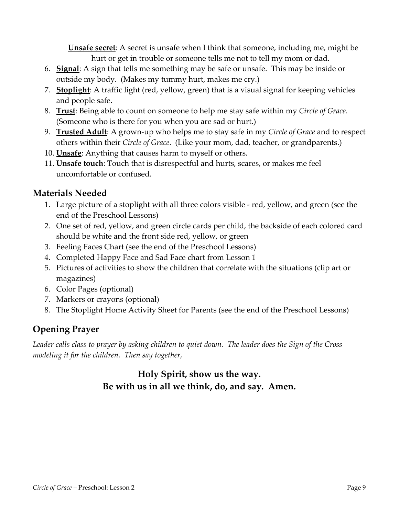**Unsafe secret**: A secret is unsafe when I think that someone, including me, might be hurt or get in trouble or someone tells me not to tell my mom or dad.

- 6. **Signal**: A sign that tells me something may be safe or unsafe. This may be inside or outside my body. (Makes my tummy hurt, makes me cry.)
- 7. **Stoplight**: A traffic light (red, yellow, green) that is a visual signal for keeping vehicles and people safe.
- 8. **Trust**: Being able to count on someone to help me stay safe within my *Circle of Grace*. (Someone who is there for you when you are sad or hurt.)
- 9. **Trusted Adult**: A grown‐up who helps me to stay safe in my *Circle of Grace* and to respect others within their *Circle of Grace*. (Like your mom, dad, teacher, or grandparents.)
- 10. **Unsafe**: Anything that causes harm to myself or others.
- 11. **Unsafe touch**: Touch that is disrespectful and hurts, scares, or makes me feel uncomfortable or confused.

#### **Materials Needed**

- 1. Large picture of a stoplight with all three colors visible ‐ red, yellow, and green (see the end of the Preschool Lessons)
- 2. One set of red, yellow, and green circle cards per child, the backside of each colored card should be white and the front side red, yellow, or green
- 3. Feeling Faces Chart (see the end of the Preschool Lessons)
- 4. Completed Happy Face and Sad Face chart from Lesson 1
- 5. Pictures of activities to show the children that correlate with the situations (clip art or magazines)
- 6. Color Pages (optional)
- 7. Markers or crayons (optional)
- 8. The Stoplight Home Activity Sheet for Parents (see the end of the Preschool Lessons)

### **Opening Prayer**

Leader calls class to prayer by asking children to quiet down. The leader does the Sign of the Cross *modeling it for the children. Then say together,* 

> **Holy Spirit, show us the way. Be with us in all we think, do, and say. Amen.**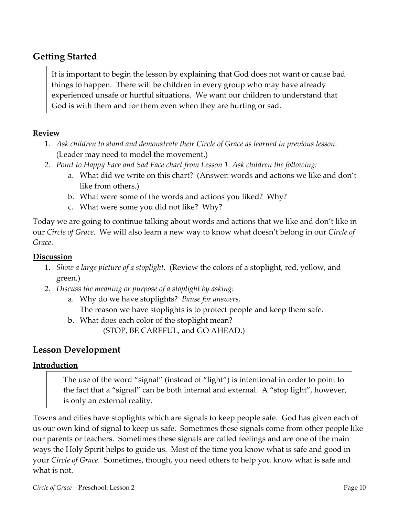#### **Getting Started**

It is important to begin the lesson by explaining that God does not want or cause bad things to happen. There will be children in every group who may have already experienced unsafe or hurtful situations. We want our children to understand that God is with them and for them even when they are hurting or sad.

#### **Review**

- 1. *Ask children to stand and demonstrate their Circle of Grace as learned in previous lesson*. (Leader may need to model the movement.)
- *2. Point to Happy Face and Sad Face chart from Lesson 1. Ask children the following:*
	- a. What did we write on this chart? (Answer: words and actions we like and don't like from others.)
	- b. What were some of the words and actions you liked? Why?
	- c. What were some you did not like? Why?

Today we are going to continue talking about words and actions that we like and don't like in our *Circle of Grace*. We will also learn a new way to know what doesn't belong in our *Circle of Grace*.

#### **Discussion**

- 1. *Show a large picture of a stoplight*. (Review the colors of a stoplight, red, yellow, and green.)
- 2. *Discuss the meaning or purpose of a stoplight by asking*:
	- a. Why do we have stoplights? *Pause for answers.* The reason we have stoplights is to protect people and keep them safe.
	- b. What does each color of the stoplight mean? (STOP, BE CAREFUL, and GO AHEAD.)

#### **Lesson Development**

#### **Introduction**

The use of the word "signal" (instead of "light") is intentional in order to point to the fact that a "signal" can be both internal and external. A "stop light", however, is only an external reality.

Towns and cities have stoplights which are signals to keep people safe. God has given each of us our own kind of signal to keep us safe. Sometimes these signals come from other people like our parents or teachers. Sometimes these signals are called feelings and are one of the main ways the Holy Spirit helps to guide us. Most of the time you know what is safe and good in your *Circle of Grace*. Sometimes, though, you need others to help you know what is safe and what is not.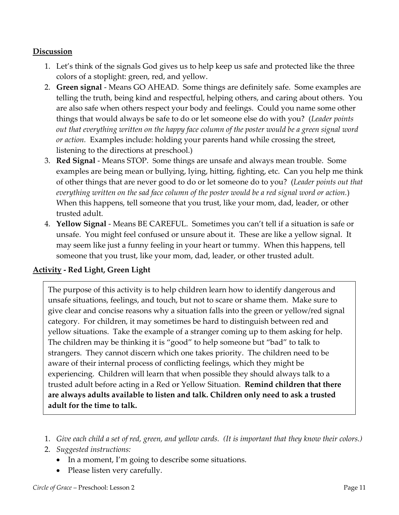#### **Discussion**

- 1. Let's think of the signals God gives us to help keep us safe and protected like the three colors of a stoplight: green, red, and yellow.
- 2. **Green signal** ‐ Means GO AHEAD. Some things are definitely safe. Some examples are telling the truth, being kind and respectful, helping others, and caring about others. You are also safe when others respect your body and feelings. Could you name some other things that would always be safe to do or let someone else do with you? (*Leader points out that everything written on the happy face column of the poster would be a green signal word or action.* Examples include: holding your parents hand while crossing the street, listening to the directions at preschool.)
- 3. **Red Signal** ‐ Means STOP. Some things are unsafe and always mean trouble. Some examples are being mean or bullying, lying, hitting, fighting, etc. Can you help me think of other things that are never good to do or let someone do to you? (*Leader points out that everything written on the sad face column of the poster would be a red signal word or action.*) When this happens, tell someone that you trust, like your mom, dad, leader, or other trusted adult.
- 4. **Yellow Signal** ‐ Means BE CAREFUL. Sometimes you can't tell if a situation is safe or unsafe. You might feel confused or unsure about it. These are like a yellow signal. It may seem like just a funny feeling in your heart or tummy. When this happens, tell someone that you trust, like your mom, dad, leader, or other trusted adult.

#### **Activity ‐ Red Light, Green Light**

The purpose of this activity is to help children learn how to identify dangerous and unsafe situations, feelings, and touch, but not to scare or shame them. Make sure to give clear and concise reasons why a situation falls into the green or yellow/red signal category. For children, it may sometimes be hard to distinguish between red and yellow situations. Take the example of a stranger coming up to them asking for help. The children may be thinking it is "good" to help someone but "bad" to talk to strangers. They cannot discern which one takes priority. The children need to be aware of their internal process of conflicting feelings, which they might be experiencing. Children will learn that when possible they should always talk to a trusted adult before acting in a Red or Yellow Situation. **Remind children that there are always adults available to listen and talk. Children only need to ask a trusted adult for the time to talk.**

1. Give each child a set of red, green, and yellow cards. (It is important that they know their colors.)

- 2. *Suggested instructions:*
	- In a moment, I'm going to describe some situations.
	- Please listen very carefully.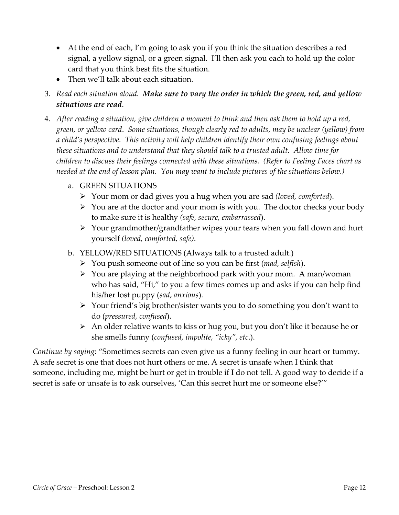- At the end of each, I'm going to ask you if you think the situation describes a red signal, a yellow signal, or a green signal. I'll then ask you each to hold up the color card that you think best fits the situation.
- Then we'll talk about each situation.
- 3. *Read each situation aloud. Make sure to vary the order in which the green, red, and yellow situations are read*.
- 4. After reading a situation, give children a moment to think and then ask them to hold up a red, *green, or yellow card*. *Some situations, though clearly red to adults, may be unclear (yellow) from a child's perspective. This activity will help children identify their own confusing feelings about these situations and to understand that they should talk to a trusted adult.**Allow time for children to discuss their feelings connected with these situations. (Refer to Feeling Faces chart as needed at the end of lesson plan. You may want to include pictures of the situations below.)*
	- a. GREEN SITUATIONS
		- Your mom or dad gives you a hug when you are sad *(loved, comforted*).
		- $\triangleright$  You are at the doctor and your mom is with you. The doctor checks your body to make sure it is healthy *(safe, secure, embarrassed*).
		- Your grandmother/grandfather wipes your tears when you fall down and hurt yourself *(loved, comforted, safe)*.
	- b. YELLOW/RED SITUATIONS (Always talk to a trusted adult.)
		- You push someone out of line so you can be first (*mad, selfish*).
		- $\triangleright$  You are playing at the neighborhood park with your mom. A man/woman who has said, "Hi," to you a few times comes up and asks if you can help find his/her lost puppy (*sad*, *anxious*).
		- $\triangleright$  Your friend's big brother/sister wants you to do something you don't want to do (*pressured, confused*).
		- $\triangleright$  An older relative wants to kiss or hug you, but you don't like it because he or she smells funny (*confused, impolite, "icky", etc*.).

*Continue by saying*: "Sometimes secrets can even give us a funny feeling in our heart or tummy. A safe secret is one that does not hurt others or me. A secret is unsafe when I think that someone, including me, might be hurt or get in trouble if I do not tell. A good way to decide if a secret is safe or unsafe is to ask ourselves, 'Can this secret hurt me or someone else?'"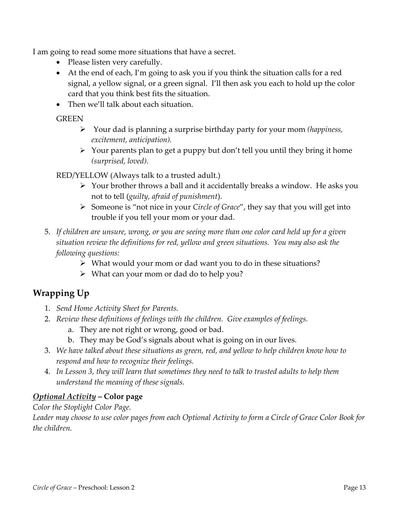I am going to read some more situations that have a secret.

- Please listen very carefully.
- At the end of each, I'm going to ask you if you think the situation calls for a red signal, a yellow signal, or a green signal. I'll then ask you each to hold up the color card that you think best fits the situation.
- Then we'll talk about each situation.

**GREEN** 

- Your dad is planning a surprise birthday party for your mom *(happiness, excitement, anticipation).*
- $\triangleright$  Your parents plan to get a puppy but don't tell you until they bring it home *(surprised, loved)*.

#### RED/YELLOW (Always talk to a trusted adult.)

- $\triangleright$  Your brother throws a ball and it accidentally breaks a window. He asks you not to tell (*guilty, afraid of punishment*).
- Someone is "not nice in your *Circle of Grace*", they say that you will get into trouble if you tell your mom or your dad.
- 5. If children are unsure, wrong, or you are seeing more than one color card held up for a given *situation review the definitions for red, yellow and green situations. You may also ask the following questions:*
	- $\triangleright$  What would your mom or dad want you to do in these situations?
	- $\triangleright$  What can your mom or dad do to help you?

#### **Wrapping Up**

- 1. *Send Home Activity Sheet for Parents.*
- 2. *Review these definitions of feelings with the children. Give examples of feelings.*
	- a. They are not right or wrong, good or bad.
	- b. They may be God's signals about what is going on in our lives.
- 3. *We have talked about these situations as green, red, and yellow to help children know how to respond and how to recognize their feelings.*
- 4. *In Lesson 3, they will learn that sometimes they need to talk to trusted adults to help them understand the meaning of these signals.*

#### *Optional Activity* **– Color page**

*Color the Stoplight Color Page.* 

Leader may choose to use color pages from each Optional Activity to form a Circle of Grace Color Book for *the children.*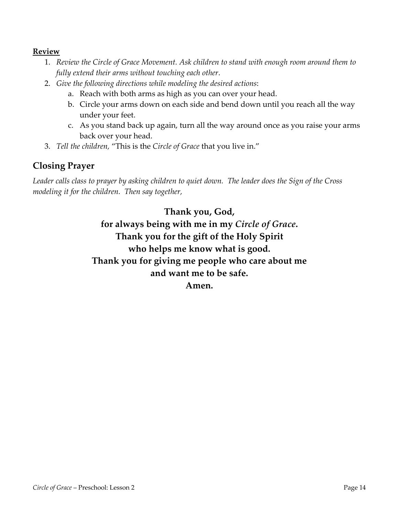#### **Review**

- 1. *Review the Circle of Grace Movement. Ask children to stand with enough room around them to fully extend their arms without touching each other*.
- 2. *Give the following directions while modeling the desired actions*:
	- a. Reach with both arms as high as you can over your head.
	- b. Circle your arms down on each side and bend down until you reach all the way under your feet.
	- c. As you stand back up again, turn all the way around once as you raise your arms back over your head.
- 3. *Tell the children,* "This is the *Circle of Grace* that you live in."

#### **Closing Prayer**

Leader calls class to prayer by asking children to quiet down. The leader does the Sign of the Cross *modeling it for the children. Then say together,* 

> **Thank you, God, for always being with me in my** *Circle of Grace***. Thank you for the gift of the Holy Spirit who helps me know what is good. Thank you for giving me people who care about me and want me to be safe. Amen.**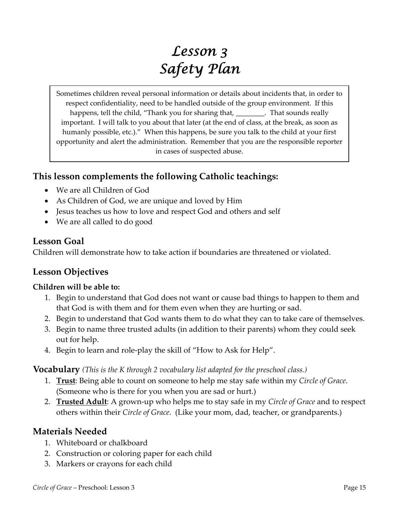# *Lesson 3 Safety Plan*

Sometimes children reveal personal information or details about incidents that, in order to respect confidentiality, need to be handled outside of the group environment. If this happens, tell the child, "Thank you for sharing that, \_\_\_\_\_\_\_\_. That sounds really important. I will talk to you about that later (at the end of class, at the break, as soon as humanly possible, etc.)." When this happens, be sure you talk to the child at your first opportunity and alert the administration. Remember that you are the responsible reporter in cases of suspected abuse.

#### **This lesson complements the following Catholic teachings:**

- We are all Children of God
- As Children of God, we are unique and loved by Him
- Jesus teaches us how to love and respect God and others and self
- We are all called to do good

#### **Lesson Goal**

Children will demonstrate how to take action if boundaries are threatened or violated.

#### **Lesson Objectives**

#### **Children will be able to:**

- 1. Begin to understand that God does not want or cause bad things to happen to them and that God is with them and for them even when they are hurting or sad.
- 2. Begin to understand that God wants them to do what they can to take care of themselves.
- 3. Begin to name three trusted adults (in addition to their parents) whom they could seek out for help.
- 4. Begin to learn and role‐play the skill of "How to Ask for Help".

#### **Vocabulary** *(This is the K through 2 vocabulary list adapted for the preschool class.)*

- 1. **Trust**: Being able to count on someone to help me stay safe within my *Circle of Grace*. (Someone who is there for you when you are sad or hurt.)
- 2. **Trusted Adult**: A grown‐up who helps me to stay safe in my *Circle of Grace* and to respect others within their *Circle of Grace*. (Like your mom, dad, teacher, or grandparents.)

#### **Materials Needed**

- 1. Whiteboard or chalkboard
- 2. Construction or coloring paper for each child
- 3. Markers or crayons for each child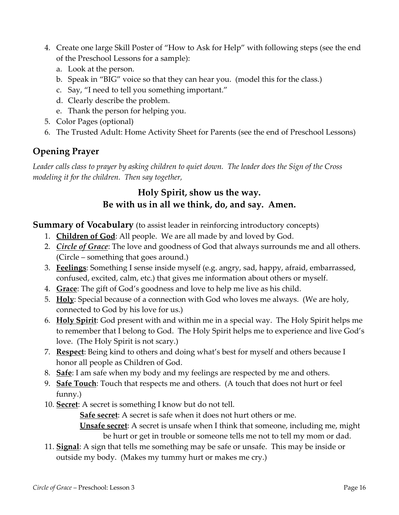- 4. Create one large Skill Poster of "How to Ask for Help" with following steps (see the end of the Preschool Lessons for a sample):
	- a. Look at the person.
	- b. Speak in "BIG" voice so that they can hear you. (model this for the class.)
	- c. Say, "I need to tell you something important."
	- d. Clearly describe the problem.
	- e. Thank the person for helping you.
- 5. Color Pages (optional)
- 6. The Trusted Adult: Home Activity Sheet for Parents (see the end of Preschool Lessons)

#### **Opening Prayer**

Leader calls class to prayer by asking children to quiet down. The leader does the Sign of the Cross *modeling it for the children. Then say together,* 

#### **Holy Spirit, show us the way. Be with us in all we think, do, and say. Amen.**

**Summary of Vocabulary** (to assist leader in reinforcing introductory concepts)

- 1. **Children of God**: All people. We are all made by and loved by God.
- 2. *Circle of Grace*: The love and goodness of God that always surrounds me and all others. (Circle – something that goes around.)
- 3. **Feelings**: Something I sense inside myself (e.g. angry, sad, happy, afraid, embarrassed, confused, excited, calm, etc.) that gives me information about others or myself.
- 4. **Grace**: The gift of God's goodness and love to help me live as his child.
- 5. **Holy**: Special because of a connection with God who loves me always. (We are holy, connected to God by his love for us.)
- 6. **Holy Spirit**: God present with and within me in a special way. The Holy Spirit helps me to remember that I belong to God. The Holy Spirit helps me to experience and live God's love. (The Holy Spirit is not scary.)
- 7. **Respect**: Being kind to others and doing what's best for myself and others because I honor all people as Children of God.
- 8. **Safe**: I am safe when my body and my feelings are respected by me and others.
- 9. **Safe Touch**: Touch that respects me and others. (A touch that does not hurt or feel funny.)
- 10. **Secret**: A secret is something I know but do not tell.

**Safe secret**: A secret is safe when it does not hurt others or me.

**Unsafe secret**: A secret is unsafe when I think that someone, including me, might be hurt or get in trouble or someone tells me not to tell my mom or dad.

11. **Signal**: A sign that tells me something may be safe or unsafe. This may be inside or outside my body. (Makes my tummy hurt or makes me cry.)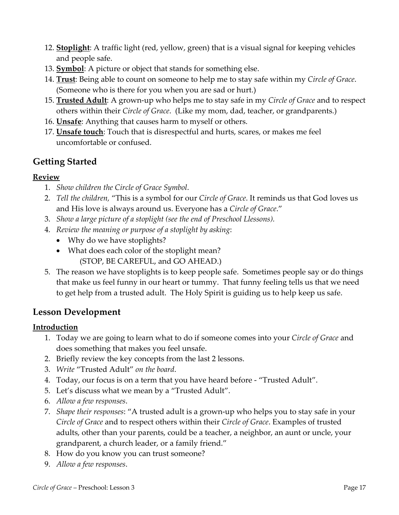- 12. **Stoplight**: A traffic light (red, yellow, green) that is a visual signal for keeping vehicles and people safe.
- 13. **Symbol**: A picture or object that stands for something else.
- 14. **Trust**: Being able to count on someone to help me to stay safe within my *Circle of Grace*. (Someone who is there for you when you are sad or hurt.)
- 15. **Trusted Adult**: A grown‐up who helps me to stay safe in my *Circle of Grace* and to respect others within their *Circle of Grace*. (Like my mom, dad, teacher, or grandparents.)
- 16. **Unsafe**: Anything that causes harm to myself or others.
- 17. **Unsafe touch**: Touch that is disrespectful and hurts, scares, or makes me feel uncomfortable or confused.

#### **Getting Started**

#### **Review**

- 1. *Show children the Circle of Grace Symbol*.
- 2. *Tell the children,* "This is a symbol for our *Circle of Grace*. It reminds us that God loves us and His love is always around us. Everyone has a *Circle of Grace*."
- 3. *Show a large picture of a stoplight (see the end of Preschool Llessons).*
- 4. *Review the meaning or purpose of a stoplight by asking*:
	- Why do we have stoplights?
	- What does each color of the stoplight mean? (STOP, BE CAREFUL, and GO AHEAD.)
- 5. The reason we have stoplights is to keep people safe. Sometimes people say or do things that make us feel funny in our heart or tummy. That funny feeling tells us that we need to get help from a trusted adult. The Holy Spirit is guiding us to help keep us safe.

#### **Lesson Development**

#### **Introduction**

- 1. Today we are going to learn what to do if someone comes into your *Circle of Grace* and does something that makes you feel unsafe.
- 2. Briefly review the key concepts from the last 2 lessons.
- 3. *Write* "Trusted Adult" *on the board*.
- 4. Today, our focus is on a term that you have heard before ‐ "Trusted Adult".
- 5. Let's discuss what we mean by a "Trusted Adult".
- 6. *Allow a few responses*.
- 7. *Shape their responses*: "A trusted adult is a grown‐up who helps you to stay safe in your *Circle of Grace* and to respect others within their *Circle of Grace*. Examples of trusted adults, other than your parents, could be a teacher, a neighbor, an aunt or uncle, your grandparent, a church leader, or a family friend."
- 8. How do you know you can trust someone?
- 9. *Allow a few responses*.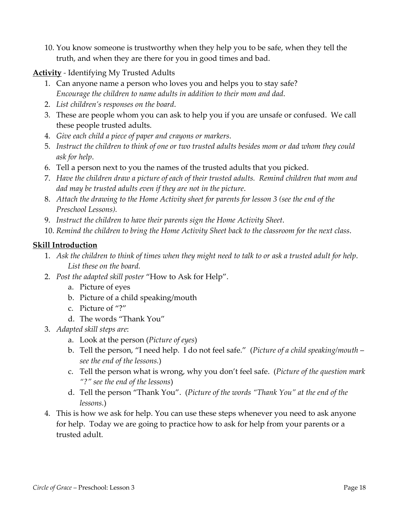10. You know someone is trustworthy when they help you to be safe, when they tell the truth, and when they are there for you in good times and bad.

#### **Activity** *‐* Identifying My Trusted Adults

- 1. Can anyone name a person who loves you and helps you to stay safe? *Encourage the children to name adults in addition to their mom and dad*.
- 2. *List children's responses on the board*.
- 3. These are people whom you can ask to help you if you are unsafe or confused. We call these people trusted adults.
- 4. *Give each child a piece of paper and crayons or markers*.
- 5. *Instruct the children to think of one or two trusted adults besides mom or dad whom they could ask for help*.
- 6. Tell a person next to you the names of the trusted adults that you picked.
- 7. *Have the children draw a picture of each of their trusted adults. Remind children that mom and dad may be trusted adults even if they are not in the picture*.
- 8. *Attach the drawing to the Home Activity sheet for parents for lesson 3 (see the end of the Preschool Lessons).*
- 9. *Instruct the children to have their parents sign the Home Activity Sheet*.
- 10. *Remind the children to bring the Home Activity Sheet back to the classroom for the next class*.

#### **Skill Introduction**

- 1. Ask the children to think of times when they might need to talk to or ask a trusted adult for help. *List these on the board.*
- 2. *Post the adapted skill poster* "How to Ask for Help".
	- a. Picture of eyes
	- b. Picture of a child speaking/mouth
	- c. Picture of "?"
	- d. The words "Thank You"
- 3. *Adapted skill steps are*:
	- a. Look at the person (*Picture of eyes*)
	- b. Tell the person, "I need help. I do not feel safe." (*Picture of a child speaking/mouth see the end of the lessons.*)
	- c. Tell the person what is wrong, why you don't feel safe. (*Picture of the question mark "?" see the end of the lessons*)
	- d. Tell the person "Thank You". (*Picture of the words "Thank You" at the end of the lessons.*)
- 4. This is how we ask for help. You can use these steps whenever you need to ask anyone for help. Today we are going to practice how to ask for help from your parents or a trusted adult.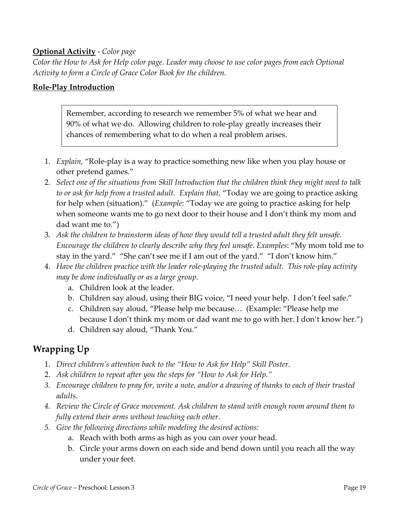#### **Optional Activity** ‐ *Color page*

Color the How to Ask for Help color page. Leader may choose to use color pages from each Optional *Activity to form a Circle of Grace Color Book for the children.*

#### **Role‐Play Introduction**

Remember, according to research we remember 5% of what we hear and 90% of what we do. Allowing children to role-play greatly increases their chances of remembering what to do when a real problem arises.

- 1. *Explain*, "Role‐play is a way to practice something new like when you play house or other pretend games."
- 2. *Select one of the situations from Skill Introduction that the children think they might need to talk to or ask for help from a trusted adult. Explain that,* "Today we are going to practice asking for help when (situation)." (*Example*: "Today we are going to practice asking for help when someone wants me to go next door to their house and I don't think my mom and dad want me to.")
- 3. *Ask the children to brainstorm ideas of how they would tell a trusted adult they felt unsafe. Encourage the children to clearly describe why they feel unsafe*. *Examples*: "My mom told me to stay in the yard." "She can't see me if I am out of the yard." "I don't know him."
- 4. Have the children practice with the leader role-playing the trusted adult. This role-play activity *may be done individually or as a large group*.
	- a. Children look at the leader.
	- b. Children say aloud, using their BIG voice, "I need your help. I don't feel safe."
	- c. Children say aloud, "Please help me because… (Example: "Please help me because I don't think my mom or dad want me to go with her. I don't know her.")
	- d. Children say aloud, "Thank You."

#### **Wrapping Up**

- 1. *Direct children's attention back to the "How to Ask for Help" Skill Poster*.
- 2. *Ask children to repeat after you the steps for "How to Ask for Help*.*"*
- 3. Encourage children to pray for, write a note, and/or a drawing of thanks to each of their trusted *adults.*
- *4. Review the Circle of Grace movement. Ask children to stand with enough room around them to fully extend their arms without touching each other.*
- *5. Give the following directions while modeling the desired actions:*
	- a. Reach with both arms as high as you can over your head.
	- b. Circle your arms down on each side and bend down until you reach all the way under your feet.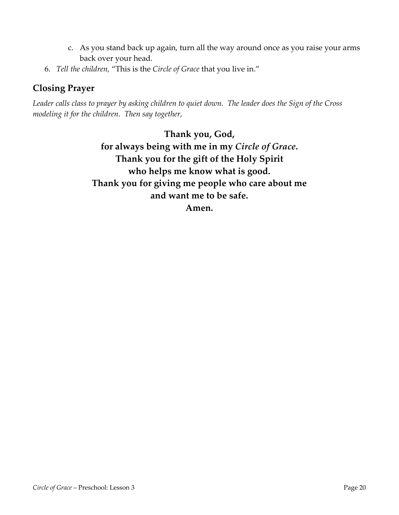- c. As you stand back up again, turn all the way around once as you raise your arms back over your head.
- 6. *Tell the children,* "This is the *Circle of Grace* that you live in."

#### **Closing Prayer**

Leader calls class to prayer by asking children to quiet down. The leader does the Sign of the Cross *modeling it for the children. Then say together,* 

> **Thank you, God, for always being with me in my** *Circle of Grace***. Thank you for the gift of the Holy Spirit who helps me know what is good. Thank you for giving me people who care about me and want me to be safe.**

**Amen.**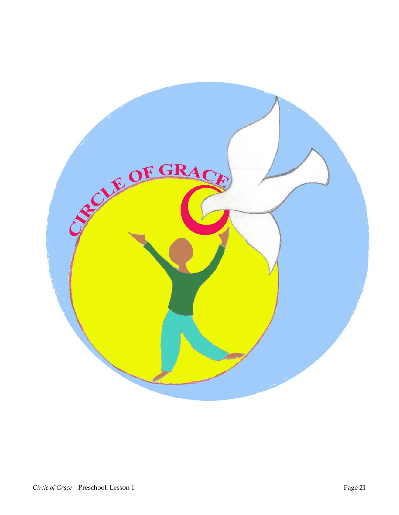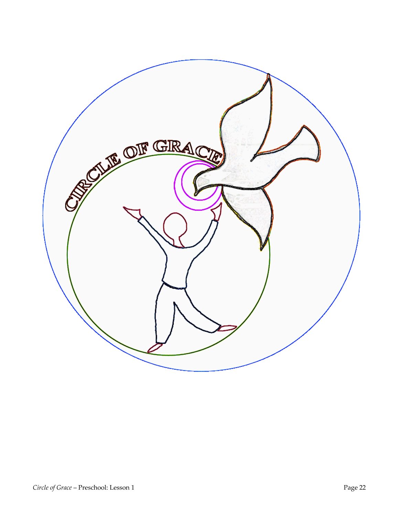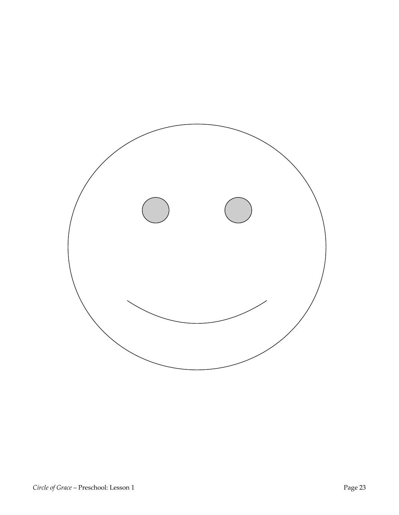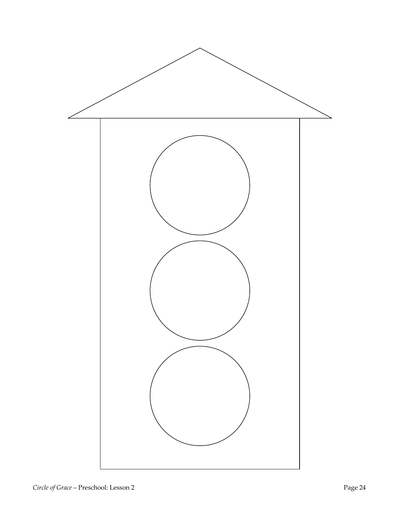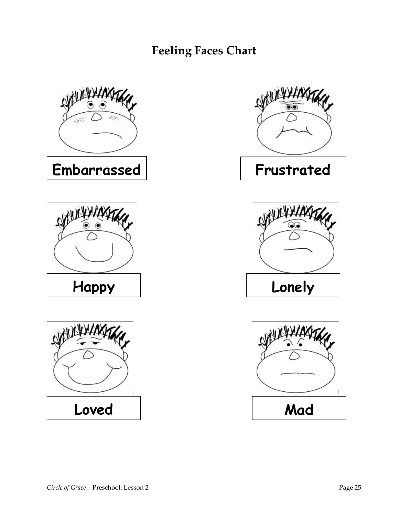**Feeling Faces Chart**



 $\mathbf{I}$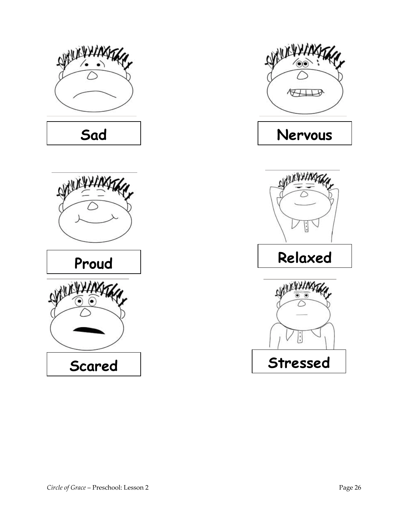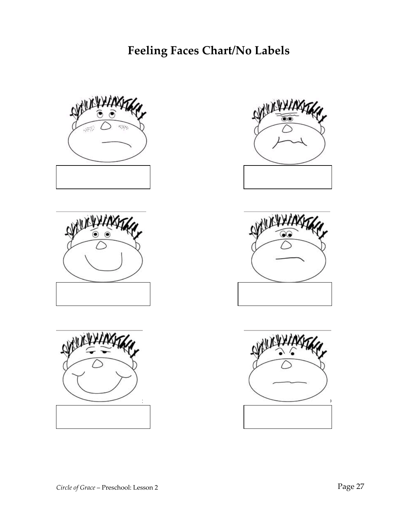**Feeling Faces Chart/No Labels**











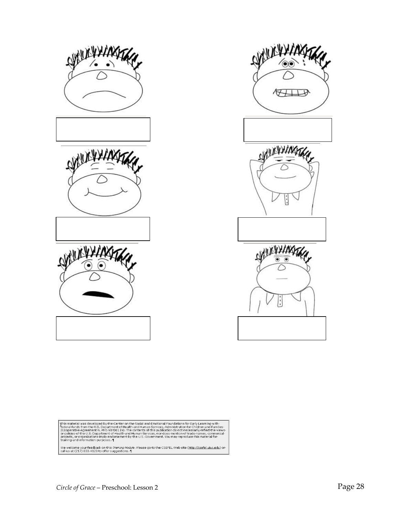



This material was developed by the Center on the Social and Emotional Foundations for Early Learning with<br>"rederal funds from the U.S. Department of Health and Human Services ,Administration for Children and Families<br>"(Co

We welcome your feedback on this *Training Module.* Please go to the CSEFEL Web site (<u>http://csefel.uiuc.edu</u>) or<br>call us at (217) 333-4123 to offer suggestions. ¶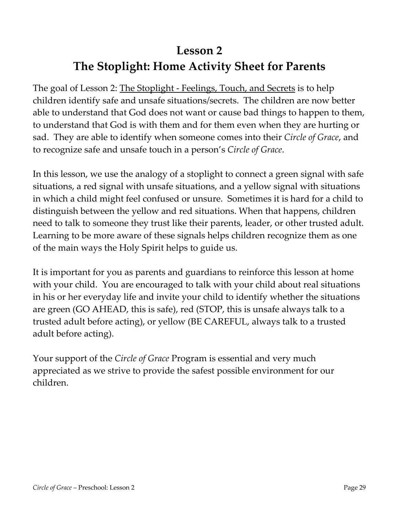# **Lesson 2 The Stoplight: Home Activity Sheet for Parents**

The goal of Lesson 2: The Stoplight - Feelings, Touch, and Secrets is to help children identify safe and unsafe situations/secrets. The children are now better able to understand that God does not want or cause bad things to happen to them, to understand that God is with them and for them even when they are hurting or sad. They are able to identify when someone comes into their *Circle of Grace*, and to recognize safe and unsafe touch in a person's *Circle of Grace*.

In this lesson, we use the analogy of a stoplight to connect a green signal with safe situations, a red signal with unsafe situations, and a yellow signal with situations in which a child might feel confused or unsure. Sometimes it is hard for a child to distinguish between the yellow and red situations. When that happens, children need to talk to someone they trust like their parents, leader, or other trusted adult. Learning to be more aware of these signals helps children recognize them as one of the main ways the Holy Spirit helps to guide us.

It is important for you as parents and guardians to reinforce this lesson at home with your child. You are encouraged to talk with your child about real situations in his or her everyday life and invite your child to identify whether the situations are green (GO AHEAD, this is safe), red (STOP, this is unsafe always talk to a trusted adult before acting), or yellow (BE CAREFUL, always talk to a trusted adult before acting).

Your support of the *Circle of Grace* Program is essential and very much appreciated as we strive to provide the safest possible environment for our children.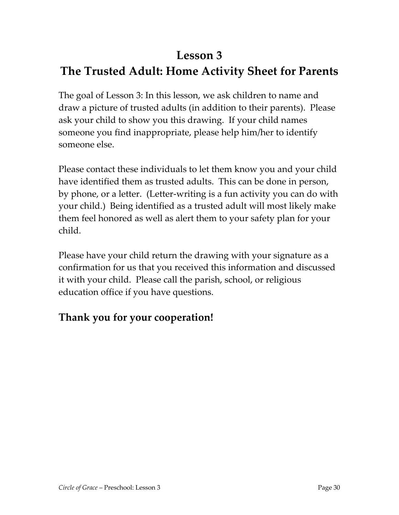## **Lesson 3**

# **The Trusted Adult: Home Activity Sheet for Parents**

The goal of Lesson 3: In this lesson, we ask children to name and draw a picture of trusted adults (in addition to their parents). Please ask your child to show you this drawing. If your child names someone you find inappropriate, please help him/her to identify someone else.

Please contact these individuals to let them know you and your child have identified them as trusted adults. This can be done in person, by phone, or a letter. (Letter‐writing is a fun activity you can do with your child.) Being identified as a trusted adult will most likely make them feel honored as well as alert them to your safety plan for your child.

Please have your child return the drawing with your signature as a confirmation for us that you received this information and discussed it with your child. Please call the parish, school, or religious education office if you have questions.

## **Thank you for your cooperation!**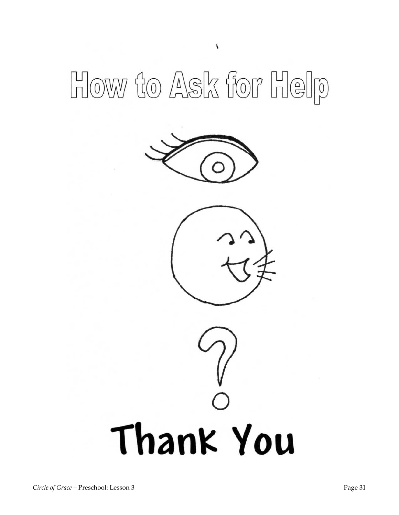# How to Ask for Help

١